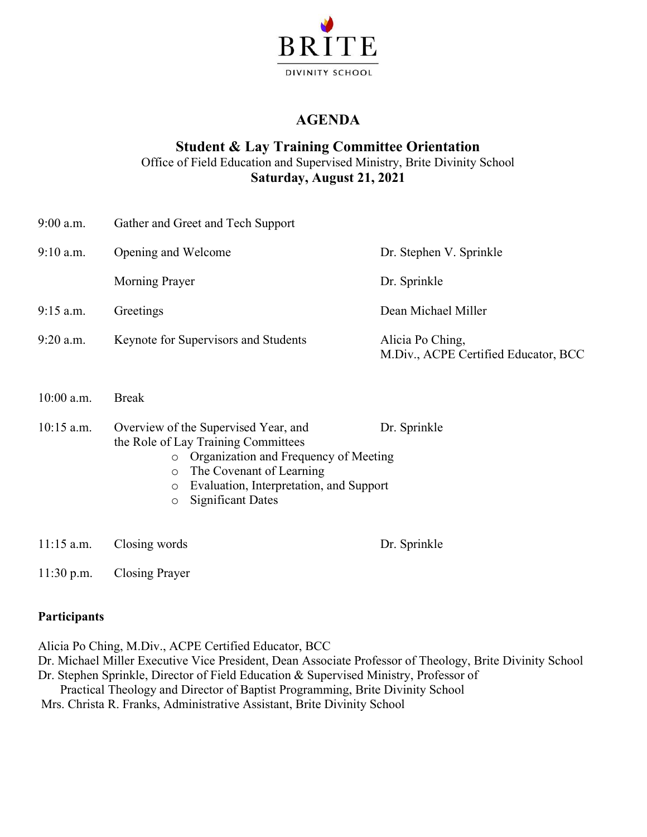

### **AGENDA**

### **Student & Lay Training Committee Orientation**

Office of Field Education and Supervised Ministry, Brite Divinity School **Saturday, August 21, 2021**

| $9:00$ a.m.  | Gather and Greet and Tech Support                                                                                                                                                                                                                                   |                                                          |
|--------------|---------------------------------------------------------------------------------------------------------------------------------------------------------------------------------------------------------------------------------------------------------------------|----------------------------------------------------------|
| $9:10$ a.m.  | Opening and Welcome                                                                                                                                                                                                                                                 | Dr. Stephen V. Sprinkle                                  |
|              | Morning Prayer                                                                                                                                                                                                                                                      | Dr. Sprinkle                                             |
| $9:15$ a.m.  | Greetings                                                                                                                                                                                                                                                           | Dean Michael Miller                                      |
| $9:20$ a.m.  | Keynote for Supervisors and Students                                                                                                                                                                                                                                | Alicia Po Ching,<br>M.Div., ACPE Certified Educator, BCC |
| $10:00$ a.m. | <b>Break</b>                                                                                                                                                                                                                                                        |                                                          |
| $10:15$ a.m. | Overview of the Supervised Year, and<br>the Role of Lay Training Committees<br>Organization and Frequency of Meeting<br>$\circ$<br>The Covenant of Learning<br>$\circ$<br>Evaluation, Interpretation, and Support<br>$\circ$<br><b>Significant Dates</b><br>$\circ$ | Dr. Sprinkle                                             |
| $11:15$ a.m. | Closing words                                                                                                                                                                                                                                                       | Dr. Sprinkle                                             |

11:30 p.m. Closing Prayer

#### **Participants**

Alicia Po Ching, M.Div., ACPE Certified Educator, BCC

- Dr. Michael Miller Executive Vice President, Dean Associate Professor of Theology, Brite Divinity School
- Dr. Stephen Sprinkle, Director of Field Education & Supervised Ministry, Professor of

 Practical Theology and Director of Baptist Programming, Brite Divinity School Mrs. Christa R. Franks, Administrative Assistant, Brite Divinity School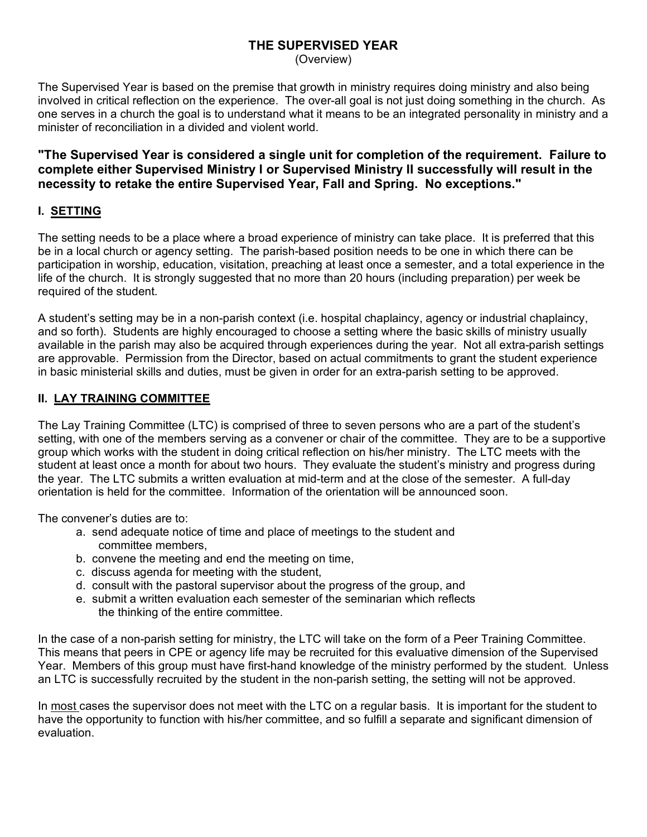## **THE SUPERVISED YEAR**

(Overview)

The Supervised Year is based on the premise that growth in ministry requires doing ministry and also being involved in critical reflection on the experience. The over-all goal is not just doing something in the church. As one serves in a church the goal is to understand what it means to be an integrated personality in ministry and a minister of reconciliation in a divided and violent world.

**"The Supervised Year is considered a single unit for completion of the requirement. Failure to complete either Supervised Ministry I or Supervised Ministry II successfully will result in the necessity to retake the entire Supervised Year, Fall and Spring. No exceptions."**

#### **I. SETTING**

The setting needs to be a place where a broad experience of ministry can take place. It is preferred that this be in a local church or agency setting. The parish-based position needs to be one in which there can be participation in worship, education, visitation, preaching at least once a semester, and a total experience in the life of the church. It is strongly suggested that no more than 20 hours (including preparation) per week be required of the student.

A student's setting may be in a non-parish context (i.e. hospital chaplaincy, agency or industrial chaplaincy, and so forth). Students are highly encouraged to choose a setting where the basic skills of ministry usually available in the parish may also be acquired through experiences during the year. Not all extra-parish settings are approvable. Permission from the Director, based on actual commitments to grant the student experience in basic ministerial skills and duties, must be given in order for an extra-parish setting to be approved.

#### **II. LAY TRAINING COMMITTEE**

The Lay Training Committee (LTC) is comprised of three to seven persons who are a part of the student's setting, with one of the members serving as a convener or chair of the committee. They are to be a supportive group which works with the student in doing critical reflection on his/her ministry. The LTC meets with the student at least once a month for about two hours. They evaluate the student's ministry and progress during the year. The LTC submits a written evaluation at mid-term and at the close of the semester. A full-day orientation is held for the committee. Information of the orientation will be announced soon.

The convener's duties are to:

- a. send adequate notice of time and place of meetings to the student and committee members,
- b. convene the meeting and end the meeting on time,
- c. discuss agenda for meeting with the student,
- d. consult with the pastoral supervisor about the progress of the group, and
- e. submit a written evaluation each semester of the seminarian which reflects the thinking of the entire committee.

In the case of a non-parish setting for ministry, the LTC will take on the form of a Peer Training Committee. This means that peers in CPE or agency life may be recruited for this evaluative dimension of the Supervised Year. Members of this group must have first-hand knowledge of the ministry performed by the student. Unless an LTC is successfully recruited by the student in the non-parish setting, the setting will not be approved.

In most cases the supervisor does not meet with the LTC on a regular basis. It is important for the student to have the opportunity to function with his/her committee, and so fulfill a separate and significant dimension of evaluation.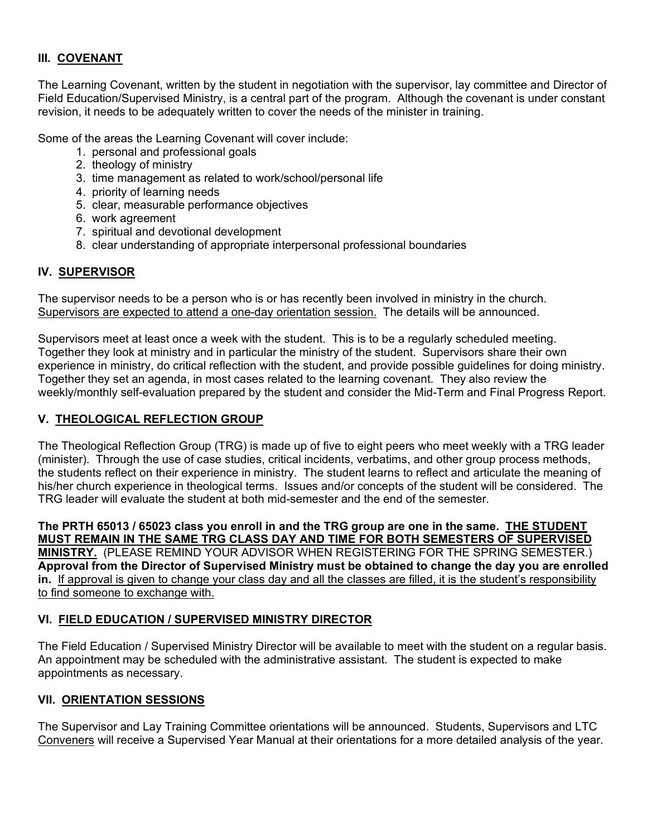#### **III. COVENANT**

The Learning Covenant, written by the student in negotiation with the supervisor, lay committee and Director of Field Education/Supervised Ministry, is a central part of the program. Although the covenant is under constant revision, it needs to be adequately written to cover the needs of the minister in training.

Some of the areas the Learning Covenant will cover include:

- 1. personal and professional goals
- 2. theology of ministry
- 3. time management as related to work/school/personal life
- 4. priority of learning needs
- 5. clear, measurable performance objectives
- 6. work agreement
- 7. spiritual and devotional development
- 8. clear understanding of appropriate interpersonal professional boundaries

#### **IV. SUPERVISOR**

The supervisor needs to be a person who is or has recently been involved in ministry in the church. Supervisors are expected to attend a one-day orientation session. The details will be announced.

Supervisors meet at least once a week with the student. This is to be a regularly scheduled meeting. Together they look at ministry and in particular the ministry of the student. Supervisors share their own experience in ministry, do critical reflection with the student, and provide possible guidelines for doing ministry. Together they set an agenda, in most cases related to the learning covenant. They also review the weekly/monthly self-evaluation prepared by the student and consider the Mid-Term and Final Progress Report.

#### **V. THEOLOGICAL REFLECTION GROUP**

The Theological Reflection Group (TRG) is made up of five to eight peers who meet weekly with a TRG leader (minister). Through the use of case studies, critical incidents, verbatims, and other group process methods, the students reflect on their experience in ministry. The student learns to reflect and articulate the meaning of his/her church experience in theological terms. Issues and/or concepts of the student will be considered. The TRG leader will evaluate the student at both mid-semester and the end of the semester.

**The PRTH 65013 / 65023 class you enroll in and the TRG group are one in the same. THE STUDENT MUST REMAIN IN THE SAME TRG CLASS DAY AND TIME FOR BOTH SEMESTERS OF SUPERVISED MINISTRY.** (PLEASE REMIND YOUR ADVISOR WHEN REGISTERING FOR THE SPRING SEMESTER.) **Approval from the Director of Supervised Ministry must be obtained to change the day you are enrolled in.** If approval is given to change your class day and all the classes are filled, it is the student's responsibility to find someone to exchange with.

#### **VI. FIELD EDUCATION / SUPERVISED MINISTRY DIRECTOR**

The Field Education / Supervised Ministry Director will be available to meet with the student on a regular basis. An appointment may be scheduled with the administrative assistant. The student is expected to make appointments as necessary.

#### **VII. ORIENTATION SESSIONS**

The Supervisor and Lay Training Committee orientations will be announced. Students, Supervisors and LTC Conveners will receive a Supervised Year Manual at their orientations for a more detailed analysis of the year.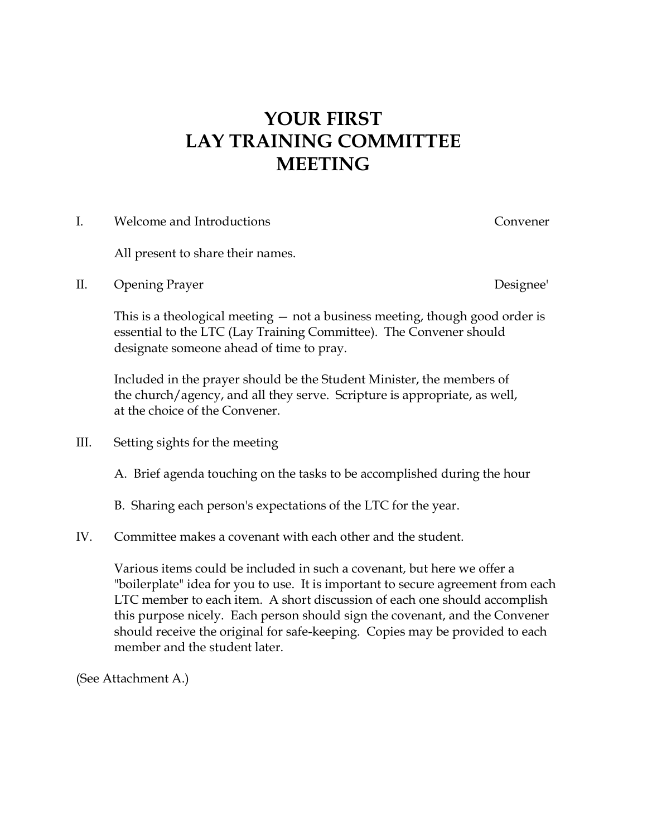## **YOUR FIRST LAY TRAINING COMMITTEE MEETING**

I. Welcome and Introductions Convener

All present to share their names.

II. Opening Prayer Designee'

This is a theological meeting — not a business meeting, though good order is essential to the LTC (Lay Training Committee). The Convener should designate someone ahead of time to pray.

Included in the prayer should be the Student Minister, the members of the church/agency, and all they serve. Scripture is appropriate, as well, at the choice of the Convener.

- III. Setting sights for the meeting
	- A. Brief agenda touching on the tasks to be accomplished during the hour
	- B. Sharing each person's expectations of the LTC for the year.

### IV. Committee makes a covenant with each other and the student.

Various items could be included in such a covenant, but here we offer a "boilerplate" idea for you to use. It is important to secure agreement from each LTC member to each item. A short discussion of each one should accomplish this purpose nicely. Each person should sign the covenant, and the Convener should receive the original for safe-keeping. Copies may be provided to each member and the student later.

(See Attachment A.)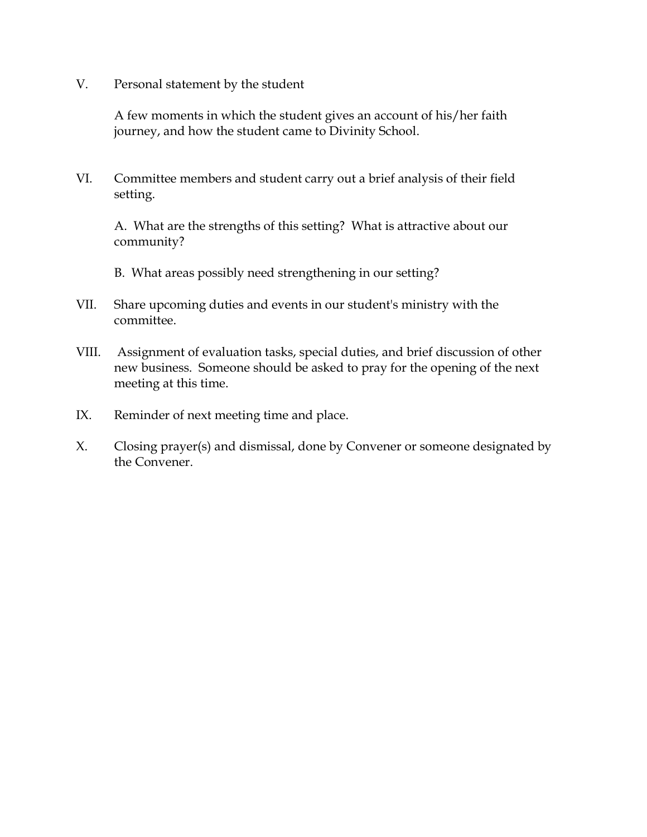V. Personal statement by the student

A few moments in which the student gives an account of his/her faith journey, and how the student came to Divinity School.

VI. Committee members and student carry out a brief analysis of their field setting.

A. What are the strengths of this setting? What is attractive about our community?

B. What areas possibly need strengthening in our setting?

- VII. Share upcoming duties and events in our student's ministry with the committee.
- VIII. Assignment of evaluation tasks, special duties, and brief discussion of other new business. Someone should be asked to pray for the opening of the next meeting at this time.
- IX. Reminder of next meeting time and place.
- X. Closing prayer(s) and dismissal, done by Convener or someone designated by the Convener.